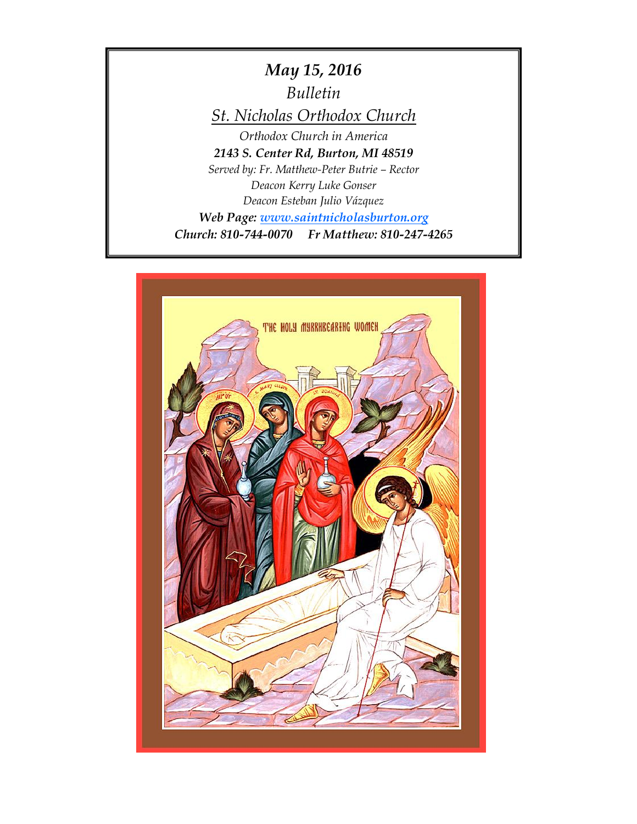*May 15, 2016 Bulletin St. Nicholas Orthodox Church Orthodox Church in America 2143 S. Center Rd, Burton, MI 48519 Served by: Fr. Matthew-Peter Butrie – Rector Deacon Kerry Luke Gonser Deacon Esteban Julio Vázquez Web Page: [www.saintnicholasburton.org](http://www.saintnicholasburton.org/) Church: 810-744-0070 Fr Matthew: 810-247-4265*

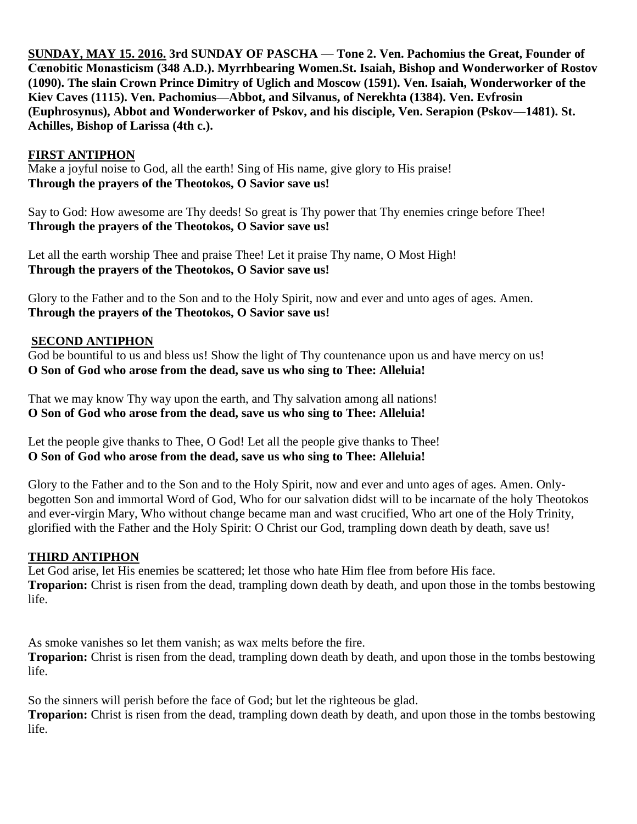**SUNDAY, MAY 15. 2016. 3rd SUNDAY OF PASCHA** — **Tone 2. Ven. Pachomius the Great, Founder of Cœnobitic Monasticism (348 A.D.). Myrrhbearing Women.St. Isaiah, Bishop and Wonderworker of Rostov (1090). The slain Crown Prince Dimitry of Uglich and Moscow (1591). Ven. Isaiah, Wonderworker of the Kiev Caves (1115). Ven. Pachomius—Abbot, and Silvanus, of Nerekhta (1384). Ven. Evfrosin (Euphrosynus), Abbot and Wonderworker of Pskov, and his disciple, Ven. Serapion (Pskov—1481). St. Achilles, Bishop of Larissa (4th c.).** 

## **FIRST ANTIPHON**

Make a joyful noise to God, all the earth! Sing of His name, give glory to His praise! **Through the prayers of the Theotokos, O Savior save us!**

Say to God: How awesome are Thy deeds! So great is Thy power that Thy enemies cringe before Thee! **Through the prayers of the Theotokos, O Savior save us!**

Let all the earth worship Thee and praise Thee! Let it praise Thy name, O Most High! **Through the prayers of the Theotokos, O Savior save us!**

Glory to the Father and to the Son and to the Holy Spirit, now and ever and unto ages of ages. Amen. **Through the prayers of the Theotokos, O Savior save us!**

## **SECOND ANTIPHON**

God be bountiful to us and bless us! Show the light of Thy countenance upon us and have mercy on us! **O Son of God who arose from the dead, save us who sing to Thee: Alleluia!**

That we may know Thy way upon the earth, and Thy salvation among all nations! **O Son of God who arose from the dead, save us who sing to Thee: Alleluia!**

Let the people give thanks to Thee, O God! Let all the people give thanks to Thee! **O Son of God who arose from the dead, save us who sing to Thee: Alleluia!**

Glory to the Father and to the Son and to the Holy Spirit, now and ever and unto ages of ages. Amen. Onlybegotten Son and immortal Word of God, Who for our salvation didst will to be incarnate of the holy Theotokos and ever-virgin Mary, Who without change became man and wast crucified, Who art one of the Holy Trinity, glorified with the Father and the Holy Spirit: O Christ our God, trampling down death by death, save us!

## **THIRD ANTIPHON**

Let God arise, let His enemies be scattered; let those who hate Him flee from before His face. **Troparion:** Christ is risen from the dead, trampling down death by death, and upon those in the tombs bestowing life.

As smoke vanishes so let them vanish; as wax melts before the fire. **Troparion:** Christ is risen from the dead, trampling down death by death, and upon those in the tombs bestowing life.

So the sinners will perish before the face of God; but let the righteous be glad. **Troparion:** Christ is risen from the dead, trampling down death by death, and upon those in the tombs bestowing life.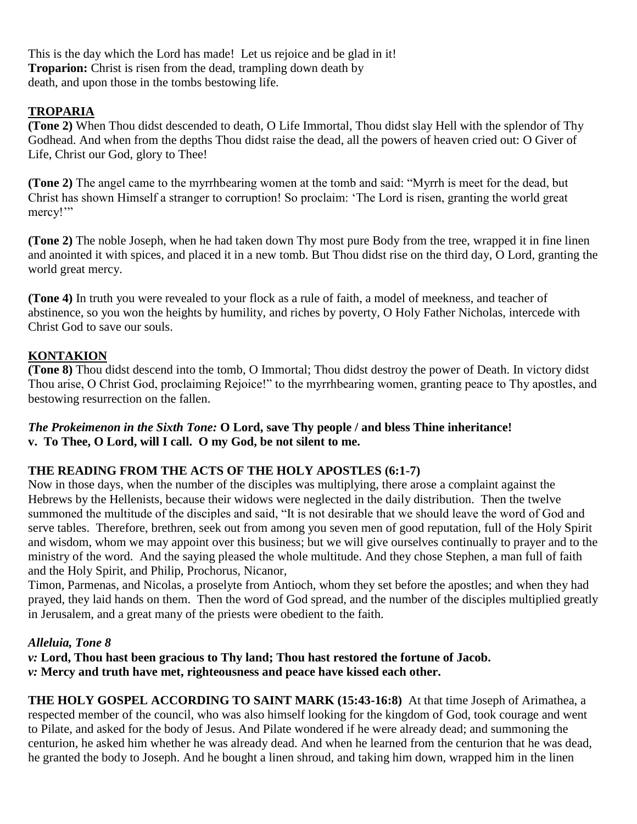This is the day which the Lord has made! Let us rejoice and be glad in it! **Troparion:** Christ is risen from the dead, trampling down death by death, and upon those in the tombs bestowing life.

# **TROPARIA**

**(Tone 2)** When Thou didst descended to death, O Life Immortal, Thou didst slay Hell with the splendor of Thy Godhead. And when from the depths Thou didst raise the dead, all the powers of heaven cried out: O Giver of Life, Christ our God, glory to Thee!

**(Tone 2)** The angel came to the myrrhbearing women at the tomb and said: "Myrrh is meet for the dead, but Christ has shown Himself a stranger to corruption! So proclaim: 'The Lord is risen, granting the world great mercy!"

**(Tone 2)** The noble Joseph, when he had taken down Thy most pure Body from the tree, wrapped it in fine linen and anointed it with spices, and placed it in a new tomb. But Thou didst rise on the third day, O Lord, granting the world great mercy.

**(Tone 4)** In truth you were revealed to your flock as a rule of faith, a model of meekness, and teacher of abstinence, so you won the heights by humility, and riches by poverty, O Holy Father Nicholas, intercede with Christ God to save our souls.

# **KONTAKION**

**(Tone 8)** Thou didst descend into the tomb, O Immortal; Thou didst destroy the power of Death. In victory didst Thou arise, O Christ God, proclaiming Rejoice!" to the myrrhbearing women, granting peace to Thy apostles, and bestowing resurrection on the fallen.

## *The Prokeimenon in the Sixth Tone:* **O Lord, save Thy people / and bless Thine inheritance! v. To Thee, O Lord, will I call. O my God, be not silent to me.**

# **THE READING FROM THE ACTS OF THE HOLY APOSTLES (6:1-7)**

Now in those days, when the number of the disciples was multiplying, there arose a complaint against the Hebrews by the Hellenists, because their widows were neglected in the daily distribution. Then the twelve summoned the multitude of the disciples and said, "It is not desirable that we should leave the word of God and serve tables. Therefore, brethren, seek out from among you seven men of good reputation, full of the Holy Spirit and wisdom, whom we may appoint over this business; but we will give ourselves continually to prayer and to the ministry of the word. And the saying pleased the whole multitude. And they chose Stephen, a man full of faith and the Holy Spirit, and Philip, Prochorus, Nicanor,

Timon, Parmenas, and Nicolas, a proselyte from Antioch, whom they set before the apostles; and when they had prayed, they laid hands on them. Then the word of God spread, and the number of the disciples multiplied greatly in Jerusalem, and a great many of the priests were obedient to the faith.

# *Alleluia, Tone 8*

*v:* **Lord, Thou hast been gracious to Thy land; Thou hast restored the fortune of Jacob.** *v:* **Mercy and truth have met, righteousness and peace have kissed each other.**

**THE HOLY GOSPEL ACCORDING TO SAINT MARK (15:43-16:8)** At that time Joseph of Arimathea, a respected member of the council, who was also himself looking for the kingdom of God, took courage and went to Pilate, and asked for the body of Jesus. And Pilate wondered if he were already dead; and summoning the centurion, he asked him whether he was already dead. And when he learned from the centurion that he was dead, he granted the body to Joseph. And he bought a linen shroud, and taking him down, wrapped him in the linen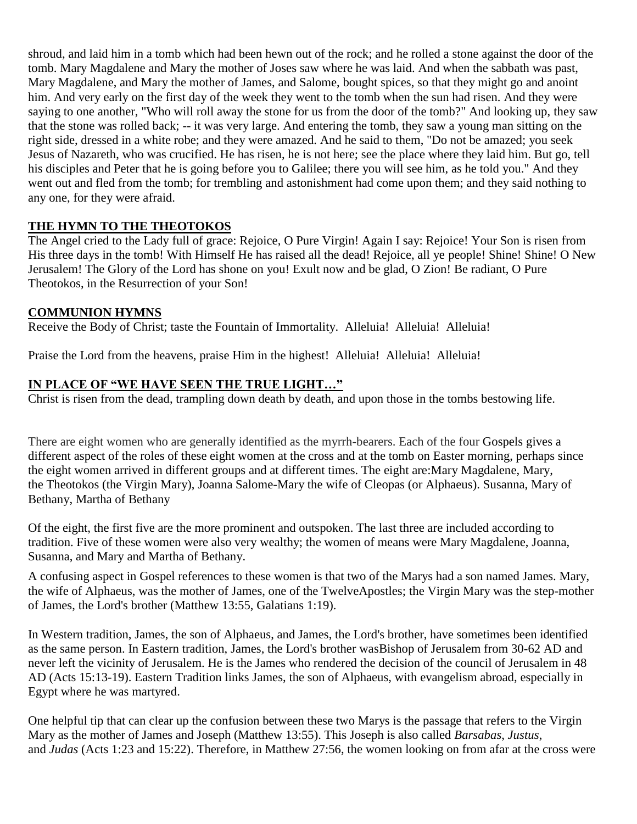shroud, and laid him in a tomb which had been hewn out of the rock; and he rolled a stone against the door of the tomb. Mary Magdalene and Mary the mother of Joses saw where he was laid. And when the sabbath was past, Mary Magdalene, and Mary the mother of James, and Salome, bought spices, so that they might go and anoint him. And very early on the first day of the week they went to the tomb when the sun had risen. And they were saying to one another, "Who will roll away the stone for us from the door of the tomb?" And looking up, they saw that the stone was rolled back; -- it was very large. And entering the tomb, they saw a young man sitting on the right side, dressed in a white robe; and they were amazed. And he said to them, "Do not be amazed; you seek Jesus of Nazareth, who was crucified. He has risen, he is not here; see the place where they laid him. But go, tell his disciples and Peter that he is going before you to Galilee; there you will see him, as he told you." And they went out and fled from the tomb; for trembling and astonishment had come upon them; and they said nothing to any one, for they were afraid.

## **THE HYMN TO THE THEOTOKOS**

The Angel cried to the Lady full of grace: Rejoice, O Pure Virgin! Again I say: Rejoice! Your Son is risen from His three days in the tomb! With Himself He has raised all the dead! Rejoice, all ye people! Shine! Shine! O New Jerusalem! The Glory of the Lord has shone on you! Exult now and be glad, O Zion! Be radiant, O Pure Theotokos, in the Resurrection of your Son!

## **COMMUNION HYMNS**

Receive the Body of Christ; taste the Fountain of Immortality. Alleluia! Alleluia! Alleluia!

Praise the Lord from the heavens, praise Him in the highest! Alleluia! Alleluia! Alleluia!

# **IN PLACE OF "WE HAVE SEEN THE TRUE LIGHT…"**

Christ is risen from the dead, trampling down death by death, and upon those in the tombs bestowing life.

There are eight women who are generally identified as the myrrh-bearers. Each of the four [Gospels](https://orthodoxwiki.org/Gospels) gives a different aspect of the roles of these eight women at the cross and at the tomb on [Easter](https://orthodoxwiki.org/Easter) morning, perhaps since the eight women arrived in different groups and at different times. The eight are[:Mary Magdalene,](https://orthodoxwiki.org/Mary_Magdalene) Mary, the [Theotokos](https://orthodoxwiki.org/Theotokos) (the Virgin Mary), [Joanna](https://orthodoxwiki.org/Joanna) [Salome-](https://orthodoxwiki.org/Salome)Mary the wife of Cleopas (or Alphaeus). [Susanna,](https://orthodoxwiki.org/Susanna_the_Myrrh-Bearer) [Mary of](https://orthodoxwiki.org/Mary_of_Bethany)  [Bethany,](https://orthodoxwiki.org/Mary_of_Bethany) [Martha of Bethany](https://orthodoxwiki.org/Martha_of_Bethany)

Of the eight, the first five are the more prominent and outspoken. The last three are included according to tradition. Five of these women were also very wealthy; the women of means were Mary Magdalene, Joanna, Susanna, and Mary and Martha of Bethany.

A confusing aspect in Gospel references to these women is that two of the Marys had a son named James. Mary, the wife of [Alphaeus,](https://orthodoxwiki.org/Apostle_Alphaeus) was the mother of [James,](https://orthodoxwiki.org/Apostle_James_(son_of_Alphaeus)) one of the Twelv[eApostles;](https://orthodoxwiki.org/Apostles) the Virgin Mary was the step-mother of [James,](https://orthodoxwiki.org/Apostle_James_the_Just) the Lord's brother [\(Matthew](https://orthodoxwiki.org/Gospel_of_Matthew) 13:55, [Galatians](https://orthodoxwiki.org/Galatians) 1:19).

In Western tradition, James, the son of Alphaeus, and James, the Lord's brother, have sometimes been identified as the same person. In Eastern tradition, James, the Lord's brother wa[sBishop](https://orthodoxwiki.org/Bishop) of Jerusalem from 30-62 AD and never left the vicinity of Jerusalem. He is the James who rendered the decision of the council of Jerusalem in 48 AD (Acts 15:13-19). Eastern Tradition links James, the son of Alphaeus, with [evangelism](https://orthodoxwiki.org/Evangelism) abroad, especially in Egypt where he was [martyred.](https://orthodoxwiki.org/Martyr)

One helpful tip that can clear up the confusion between these two Marys is the passage that refers to the Virgin Mary as the mother of James and Joseph (Matthew 13:55). This Joseph is also called *Barsabas*, *Justus*, and *Judas* [\(Acts](https://orthodoxwiki.org/Acts_of_the_Apostles) 1:23 and 15:22). Therefore, in Matthew 27:56, the women looking on from afar at the cross were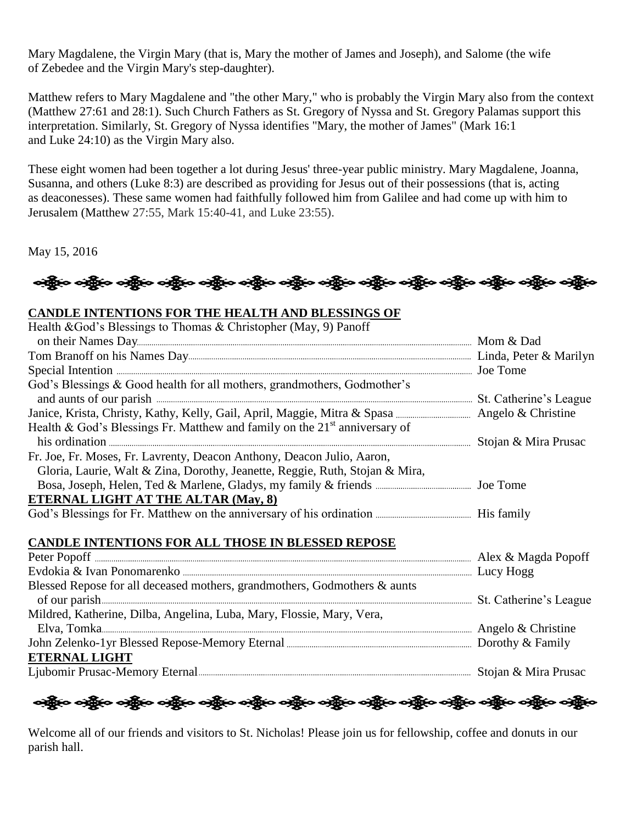Mary Magdalene, the Virgin Mary (that is, Mary the mother of James and Joseph), and [Salome](https://orthodoxwiki.org/Salome) (the wife of [Zebedee](https://orthodoxwiki.org/Zebedee) and the Virgin Mary's step-daughter).

Matthew refers to Mary Magdalene and "the other Mary," who is probably the Virgin Mary also from the context (Matthew 27:61 and 28:1). Such [Church Fathers](https://orthodoxwiki.org/Church_Fathers) as St. [Gregory of Nyssa](https://orthodoxwiki.org/Gregory_of_Nyssa) and St. [Gregory Palamas](https://orthodoxwiki.org/Gregory_Palamas) support this interpretation. Similarly, St. Gregory of Nyssa identifies "Mary, the mother of James" [\(Mark](https://orthodoxwiki.org/Gospel_of_Mark) 16:1 and [Luke](https://orthodoxwiki.org/Gospel_of_Luke) 24:10) as the Virgin Mary also.

These eight women had been together a lot during Jesus' three-year public ministry. Mary Magdalene, Joanna, Susanna, and others (Luke 8:3) are described as providing for Jesus out of their possessions (that is, acting as [deaconesses\)](https://orthodoxwiki.org/Deaconess). These same women had faithfully followed him from Galilee and had come up with him to Jerusalem (Matthew 27:55, Mark 15:40-41, and Luke 23:55).

May 15, 2016



## **CANDLE INTENTIONS FOR THE HEALTH AND BLESSINGS OF**

| Health & God's Blessings to Thomas & Christopher (May, 9) Panoff                                                                                                                                                                                                                                                               |  |
|--------------------------------------------------------------------------------------------------------------------------------------------------------------------------------------------------------------------------------------------------------------------------------------------------------------------------------|--|
|                                                                                                                                                                                                                                                                                                                                |  |
|                                                                                                                                                                                                                                                                                                                                |  |
|                                                                                                                                                                                                                                                                                                                                |  |
| God's Blessings & Good health for all mothers, grandmothers, Godmother's<br>and aunts of our parish <i>manufacture and</i> aunts of our parish <i>manufacture and</i> aunts of our parish <i>manufacture</i> and aunts of our parish <i>manufacture</i> and aunts of our parish <i>manufacture</i> and <b>and</b> and <b>a</b> |  |
|                                                                                                                                                                                                                                                                                                                                |  |
| Health & God's Blessings Fr. Matthew and family on the $21st$ anniversary of                                                                                                                                                                                                                                                   |  |
|                                                                                                                                                                                                                                                                                                                                |  |
| Fr. Joe, Fr. Moses, Fr. Lavrenty, Deacon Anthony, Deacon Julio, Aaron,                                                                                                                                                                                                                                                         |  |
| Gloria, Laurie, Walt & Zina, Dorothy, Jeanette, Reggie, Ruth, Stojan & Mira,                                                                                                                                                                                                                                                   |  |
|                                                                                                                                                                                                                                                                                                                                |  |
| <b>ETERNAL LIGHT AT THE ALTAR (May, 8)</b>                                                                                                                                                                                                                                                                                     |  |
|                                                                                                                                                                                                                                                                                                                                |  |
|                                                                                                                                                                                                                                                                                                                                |  |
| <b>CANDLE INTENTIONS FOR ALL THOSE IN BLESSED REPOSE</b>                                                                                                                                                                                                                                                                       |  |
|                                                                                                                                                                                                                                                                                                                                |  |
|                                                                                                                                                                                                                                                                                                                                |  |
| Blessed Repose for all deceased mothers, grandmothers, Godmothers & aunts                                                                                                                                                                                                                                                      |  |
|                                                                                                                                                                                                                                                                                                                                |  |
| Mildred, Katherine, Dilba, Angelina, Luba, Mary, Flossie, Mary, Vera,                                                                                                                                                                                                                                                          |  |
|                                                                                                                                                                                                                                                                                                                                |  |
|                                                                                                                                                                                                                                                                                                                                |  |
| <b>ETERNAL LIGHT</b>                                                                                                                                                                                                                                                                                                           |  |
|                                                                                                                                                                                                                                                                                                                                |  |
|                                                                                                                                                                                                                                                                                                                                |  |

ကြီးေ ဝဆိုလ ဝဆိုလ္ ဝဆိုလ္ ဝဆိုလ္ ဝဆိုလ္ ဝဆိုလ္ ဝဆိုလ္ ဝဆိုလ္ ဝဆိုလ္ ဝဆိုလ္ ဝဆိုလ္ ဝဆိုလ္ ဝဆိုလ္ ဝဆိုလ္

Welcome all of our friends and visitors to St. Nicholas! Please join us for fellowship, coffee and donuts in our parish hall.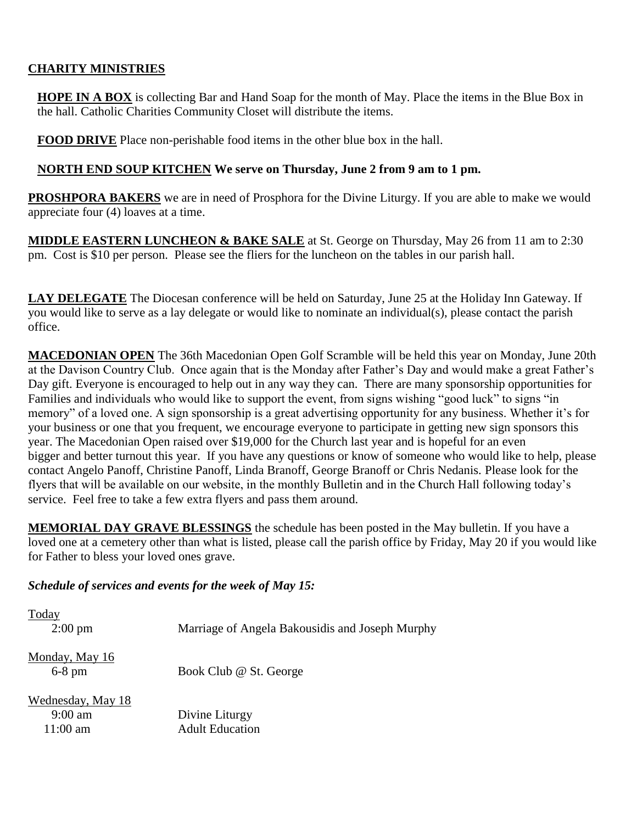# **CHARITY MINISTRIES**

**HOPE IN A BOX** is collecting Bar and Hand Soap for the month of May. Place the items in the Blue Box in the hall. Catholic Charities Community Closet will distribute the items.

**FOOD DRIVE** Place non-perishable food items in the other blue box in the hall.

## **NORTH END SOUP KITCHEN We serve on Thursday, June 2 from 9 am to 1 pm.**

**PROSHPORA BAKERS** we are in need of Prosphora for the Divine Liturgy. If you are able to make we would appreciate four (4) loaves at a time.

**MIDDLE EASTERN LUNCHEON & BAKE SALE** at St. George on Thursday, May 26 from 11 am to 2:30 pm. Cost is \$10 per person. Please see the fliers for the luncheon on the tables in our parish hall.

**LAY DELEGATE** The Diocesan conference will be held on Saturday, June 25 at the Holiday Inn Gateway. If you would like to serve as a lay delegate or would like to nominate an individual(s), please contact the parish office.

**MACEDONIAN OPEN** The 36th Macedonian Open Golf Scramble will be held this year on Monday, June 20th at the Davison Country Club. Once again that is the Monday after Father's Day and would make a great Father's Day gift. Everyone is encouraged to help out in any way they can. There are many sponsorship opportunities for Families and individuals who would like to support the event, from signs wishing "good luck" to signs "in memory" of a loved one. A sign sponsorship is a great advertising opportunity for any business. Whether it's for your business or one that you frequent, we encourage everyone to participate in getting new sign sponsors this year. The Macedonian Open raised over \$19,000 for the Church last year and is hopeful for an even bigger and better turnout this year. If you have any questions or know of someone who would like to help, please contact Angelo Panoff, Christine Panoff, Linda Branoff, George Branoff or Chris Nedanis. Please look for the flyers that will be available on our website, in the monthly Bulletin and in the Church Hall following today's service. Feel free to take a few extra flyers and pass them around.

**MEMORIAL DAY GRAVE BLESSINGS** the schedule has been posted in the May bulletin. If you have a loved one at a cemetery other than what is listed, please call the parish office by Friday, May 20 if you would like for Father to bless your loved ones grave.

#### *Schedule of services and events for the week of May 15:*

| Today                      |                                                 |
|----------------------------|-------------------------------------------------|
| $2:00 \text{ pm}$          | Marriage of Angela Bakousidis and Joseph Murphy |
| Monday, May 16<br>$6-8$ pm | Book Club @ St. George                          |
| Wednesday, May 18          |                                                 |
| $9:00 \text{ am}$          | Divine Liturgy                                  |
| $11:00$ am                 | <b>Adult Education</b>                          |